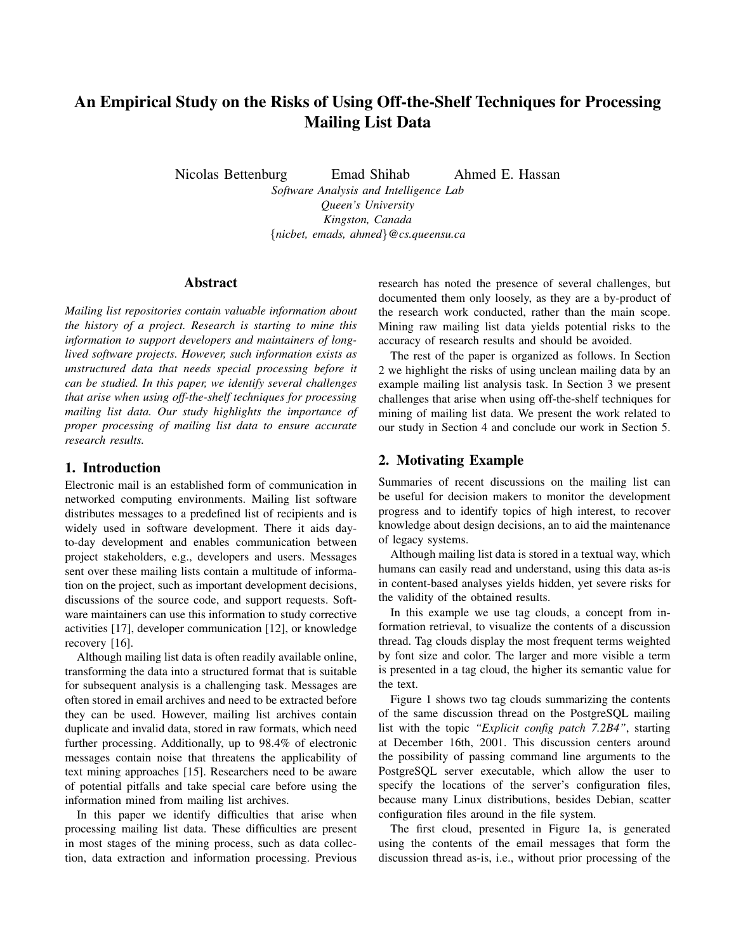# An Empirical Study on the Risks of Using Off-the-Shelf Techniques for Processing Mailing List Data

Nicolas Bettenburg Emad Shihab Ahmed E. Hassan

*Software Analysis and Intelligence Lab Queen's University Kingston, Canada* {*nicbet, emads, ahmed*}*@cs.queensu.ca*

### Abstract

*Mailing list repositories contain valuable information about the history of a project. Research is starting to mine this information to support developers and maintainers of longlived software projects. However, such information exists as unstructured data that needs special processing before it can be studied. In this paper, we identify several challenges that arise when using off-the-shelf techniques for processing mailing list data. Our study highlights the importance of proper processing of mailing list data to ensure accurate research results.*

## 1. Introduction

Electronic mail is an established form of communication in networked computing environments. Mailing list software distributes messages to a predefined list of recipients and is widely used in software development. There it aids dayto-day development and enables communication between project stakeholders, e.g., developers and users. Messages sent over these mailing lists contain a multitude of information on the project, such as important development decisions, discussions of the source code, and support requests. Software maintainers can use this information to study corrective activities [17], developer communication [12], or knowledge recovery [16].

Although mailing list data is often readily available online, transforming the data into a structured format that is suitable for subsequent analysis is a challenging task. Messages are often stored in email archives and need to be extracted before they can be used. However, mailing list archives contain duplicate and invalid data, stored in raw formats, which need further processing. Additionally, up to 98.4% of electronic messages contain noise that threatens the applicability of text mining approaches [15]. Researchers need to be aware of potential pitfalls and take special care before using the information mined from mailing list archives.

In this paper we identify difficulties that arise when processing mailing list data. These difficulties are present in most stages of the mining process, such as data collection, data extraction and information processing. Previous research has noted the presence of several challenges, but documented them only loosely, as they are a by-product of the research work conducted, rather than the main scope. Mining raw mailing list data yields potential risks to the accuracy of research results and should be avoided.

The rest of the paper is organized as follows. In Section 2 we highlight the risks of using unclean mailing data by an example mailing list analysis task. In Section 3 we present challenges that arise when using off-the-shelf techniques for mining of mailing list data. We present the work related to our study in Section 4 and conclude our work in Section 5.

## 2. Motivating Example

Summaries of recent discussions on the mailing list can be useful for decision makers to monitor the development progress and to identify topics of high interest, to recover knowledge about design decisions, an to aid the maintenance of legacy systems.

Although mailing list data is stored in a textual way, which humans can easily read and understand, using this data as-is in content-based analyses yields hidden, yet severe risks for the validity of the obtained results.

In this example we use tag clouds, a concept from information retrieval, to visualize the contents of a discussion thread. Tag clouds display the most frequent terms weighted by font size and color. The larger and more visible a term is presented in a tag cloud, the higher its semantic value for the text.

Figure 1 shows two tag clouds summarizing the contents of the same discussion thread on the PostgreSQL mailing list with the topic *"Explicit config patch 7.2B4"*, starting at December 16th, 2001. This discussion centers around the possibility of passing command line arguments to the PostgreSQL server executable, which allow the user to specify the locations of the server's configuration files, because many Linux distributions, besides Debian, scatter configuration files around in the file system.

The first cloud, presented in Figure 1a, is generated using the contents of the email messages that form the discussion thread as-is, i.e., without prior processing of the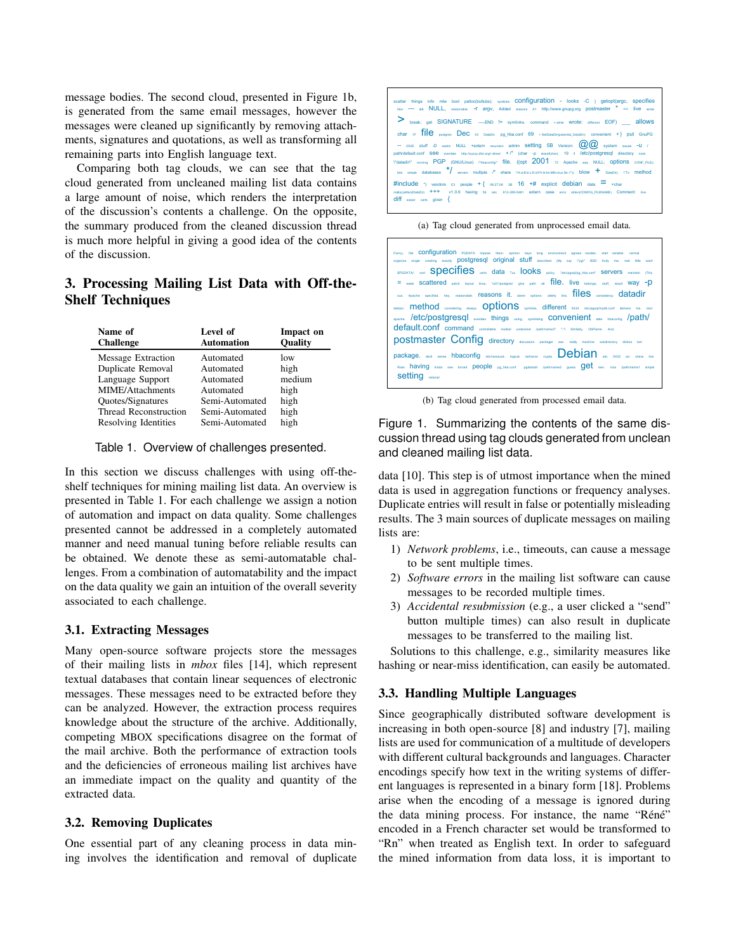message bodies. The second cloud, presented in Figure 1b, is generated from the same email messages, however the messages were cleaned up significantly by removing attachments, signatures and quotations, as well as transforming all remaining parts into English language text.

Comparing both tag clouds, we can see that the tag cloud generated from uncleaned mailing list data contains a large amount of noise, which renders the interpretation of the discussion's contents a challenge. On the opposite, the summary produced from the cleaned discussion thread is much more helpful in giving a good idea of the contents of the discussion.

## 3. Processing Mailing List Data with Off-the-Shelf Techniques

| Name of<br><b>Challenge</b> | Level of<br><b>Automation</b> | Impact on<br><b>Quality</b> |
|-----------------------------|-------------------------------|-----------------------------|
| <b>Message Extraction</b>   | Automated                     | low                         |
| Duplicate Removal           | Automated                     | high                        |
| Language Support            | Automated                     | medium                      |
| MIME/Attachments            | Automated                     | high                        |
| Quotes/Signatures           | Semi-Automated                | high                        |
| Thread Reconstruction       | Semi-Automated                | high                        |
| Resolving Identities        | Semi-Automated                | high                        |

#### Table 1. Overview of challenges presented.

In this section we discuss challenges with using off-theshelf techniques for mining mailing list data. An overview is presented in Table 1. For each challenge we assign a notion of automation and impact on data quality. Some challenges presented cannot be addressed in a completely automated manner and need manual tuning before reliable results can be obtained. We denote these as semi-automatable challenges. From a combination of automatability and the impact on the data quality we gain an intuition of the overall severity associated to each challenge.

#### 3.1. Extracting Messages

Many open-source software projects store the messages of their mailing lists in *mbox* files [14], which represent textual databases that contain linear sequences of electronic messages. These messages need to be extracted before they can be analyzed. However, the extraction process requires knowledge about the structure of the archive. Additionally, competing MBOX specifications disagree on the format of the mail archive. Both the performance of extraction tools and the deficiencies of erroneous mailing list archives have an immediate impact on the quality and quantity of the extracted data.

#### 3.2. Removing Duplicates

One essential part of any cleaning process in data mining involves the identification and removal of duplicate



(a) Tag cloud generated from unprocessed email data.

| Funny, flat CONTIQUICATION PGDATA impose them. opinion keys long environment agrees resides, start variable, normal<br>organize single creating exactly <b>postgresql</b> original stuff described (My say VpgV BSD fruity me, real little want<br>SPODATA: sort SPECIFIES onts data Tux IOOKS policy. "entripgequipg_hba.conf SEIVETS maintain (This                                                      |  |  |  |  |  |  |  |
|------------------------------------------------------------------------------------------------------------------------------------------------------------------------------------------------------------------------------------------------------------------------------------------------------------------------------------------------------------------------------------------------------------|--|--|--|--|--|--|--|
| $=$ week SCattered patch layout linux, "u01/postgres" give path all. $file$ . live belongs, stuff, result WAV -D                                                                                                                                                                                                                                                                                           |  |  |  |  |  |  |  |
|                                                                                                                                                                                                                                                                                                                                                                                                            |  |  |  |  |  |  |  |
| sux. Apache specified, hey, reasonable. Feasons it, damn options: utterly line, TIIes consistency datadir                                                                                                                                                                                                                                                                                                  |  |  |  |  |  |  |  |
| debian. method considering always. Options symilinis. different 5434 /etclpgsqlimydb.cont delivers me. /etc/<br>apache. /etc/postgresql overloss things using, syminking convenient also hbaconfig /path/<br>default.conf command controllable modest undestred /path/name3" ","I Similarly, ObFlame: And,<br>postmaster Config directory discussion packager ass. really machine subdirectory distrus bet |  |  |  |  |  |  |  |
| package, devil sense hbaconfig /etclnessusd, logical, behavior crypto <b>Debian and Setter Setter Setter and the line</b>                                                                                                                                                                                                                                                                                  |  |  |  |  |  |  |  |
| Ross having kinda see forced people pg_hba.conf pgdatadir /path/name2 guess get own, nice /path/name1 simple<br><b>Setting</b> rational                                                                                                                                                                                                                                                                    |  |  |  |  |  |  |  |

(b) Tag cloud generated from processed email data.

Figure 1. Summarizing the contents of the same discussion thread using tag clouds generated from unclean and cleaned mailing list data.

data [10]. This step is of utmost importance when the mined data is used in aggregation functions or frequency analyses. Duplicate entries will result in false or potentially misleading results. The 3 main sources of duplicate messages on mailing lists are:

- 1) *Network problems*, i.e., timeouts, can cause a message to be sent multiple times.
- 2) *Software errors* in the mailing list software can cause messages to be recorded multiple times.
- 3) *Accidental resubmission* (e.g., a user clicked a "send" button multiple times) can also result in duplicate messages to be transferred to the mailing list.

Solutions to this challenge, e.g., similarity measures like hashing or near-miss identification, can easily be automated.

#### 3.3. Handling Multiple Languages

Since geographically distributed software development is increasing in both open-source [8] and industry [7], mailing lists are used for communication of a multitude of developers with different cultural backgrounds and languages. Character encodings specify how text in the writing systems of different languages is represented in a binary form [18]. Problems arise when the encoding of a message is ignored during the data mining process. For instance, the name "Réné" encoded in a French character set would be transformed to "Rn" when treated as English text. In order to safeguard the mined information from data loss, it is important to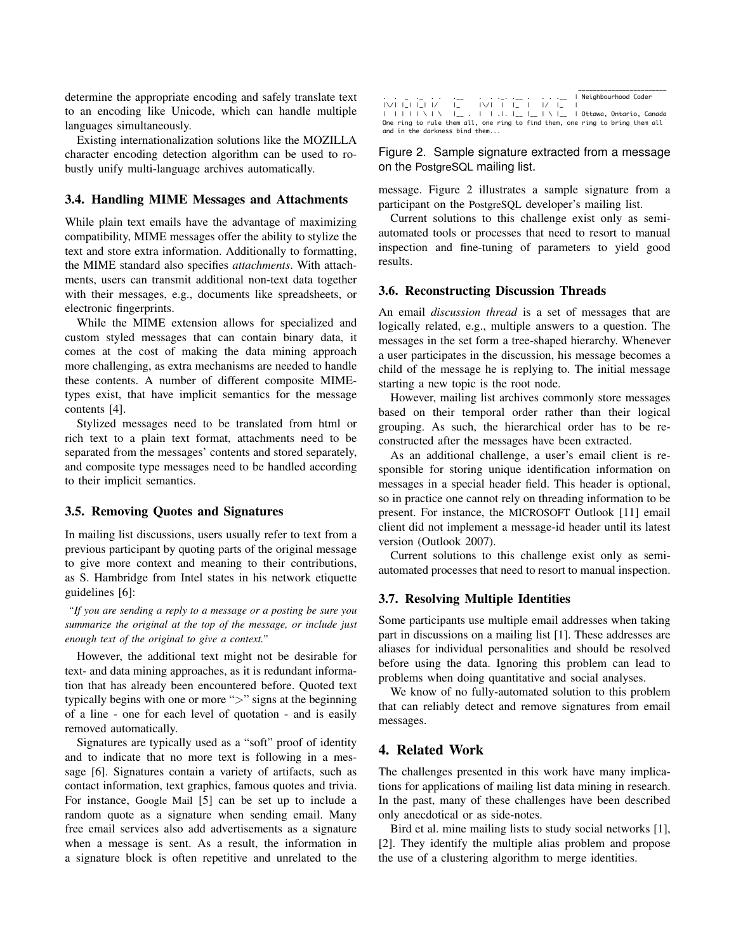determine the appropriate encoding and safely translate text to an encoding like Unicode, which can handle multiple languages simultaneously.

Existing internationalization solutions like the MOZILLA character encoding detection algorithm can be used to robustly unify multi-language archives automatically.

#### 3.4. Handling MIME Messages and Attachments

While plain text emails have the advantage of maximizing compatibility, MIME messages offer the ability to stylize the text and store extra information. Additionally to formatting, the MIME standard also specifies *attachments*. With attachments, users can transmit additional non-text data together with their messages, e.g., documents like spreadsheets, or electronic fingerprints.

While the MIME extension allows for specialized and custom styled messages that can contain binary data, it comes at the cost of making the data mining approach more challenging, as extra mechanisms are needed to handle these contents. A number of different composite MIMEtypes exist, that have implicit semantics for the message contents [4].

Stylized messages need to be translated from html or rich text to a plain text format, attachments need to be separated from the messages' contents and stored separately, and composite type messages need to be handled according to their implicit semantics.

#### 3.5. Removing Quotes and Signatures

In mailing list discussions, users usually refer to text from a previous participant by quoting parts of the original message to give more context and meaning to their contributions, as S. Hambridge from Intel states in his network etiquette guidelines [6]:

*"If you are sending a reply to a message or a posting be sure you summarize the original at the top of the message, or include just enough text of the original to give a context."*

However, the additional text might not be desirable for text- and data mining approaches, as it is redundant information that has already been encountered before. Quoted text typically begins with one or more ">" signs at the beginning of a line - one for each level of quotation - and is easily removed automatically.

Signatures are typically used as a "soft" proof of identity and to indicate that no more text is following in a message [6]. Signatures contain a variety of artifacts, such as contact information, text graphics, famous quotes and trivia. For instance, Google Mail [5] can be set up to include a random quote as a signature when sending email. Many free email services also add advertisements as a signature when a message is sent. As a result, the information in a signature block is often repetitive and unrelated to the

|  |  |  |                               |  |  |  |  |  | . . _ .____. .____   Neighbourhood Coder                                     |  |
|--|--|--|-------------------------------|--|--|--|--|--|------------------------------------------------------------------------------|--|
|  |  |  | IVIIIIIV IIVIVIIVI I IIVI     |  |  |  |  |  |                                                                              |  |
|  |  |  |                               |  |  |  |  |  |                                                                              |  |
|  |  |  |                               |  |  |  |  |  | One ring to rule them all, one ring to find them, one ring to bring them all |  |
|  |  |  | and in the darkness bind them |  |  |  |  |  |                                                                              |  |

Figure 2. Sample signature extracted from a message on the PostgreSQL mailing list.

message. Figure 2 illustrates a sample signature from a participant on the PostgreSQL developer's mailing list.

Current solutions to this challenge exist only as semiautomated tools or processes that need to resort to manual inspection and fine-tuning of parameters to yield good results.

#### 3.6. Reconstructing Discussion Threads

An email *discussion thread* is a set of messages that are logically related, e.g., multiple answers to a question. The messages in the set form a tree-shaped hierarchy. Whenever a user participates in the discussion, his message becomes a child of the message he is replying to. The initial message starting a new topic is the root node.

However, mailing list archives commonly store messages based on their temporal order rather than their logical grouping. As such, the hierarchical order has to be reconstructed after the messages have been extracted.

As an additional challenge, a user's email client is responsible for storing unique identification information on messages in a special header field. This header is optional, so in practice one cannot rely on threading information to be present. For instance, the MICROSOFT Outlook [11] email client did not implement a message-id header until its latest version (Outlook 2007).

Current solutions to this challenge exist only as semiautomated processes that need to resort to manual inspection.

#### 3.7. Resolving Multiple Identities

Some participants use multiple email addresses when taking part in discussions on a mailing list [1]. These addresses are aliases for individual personalities and should be resolved before using the data. Ignoring this problem can lead to problems when doing quantitative and social analyses.

We know of no fully-automated solution to this problem that can reliably detect and remove signatures from email messages.

#### 4. Related Work

The challenges presented in this work have many implications for applications of mailing list data mining in research. In the past, many of these challenges have been described only anecdotical or as side-notes.

Bird et al. mine mailing lists to study social networks [1], [2]. They identify the multiple alias problem and propose the use of a clustering algorithm to merge identities.